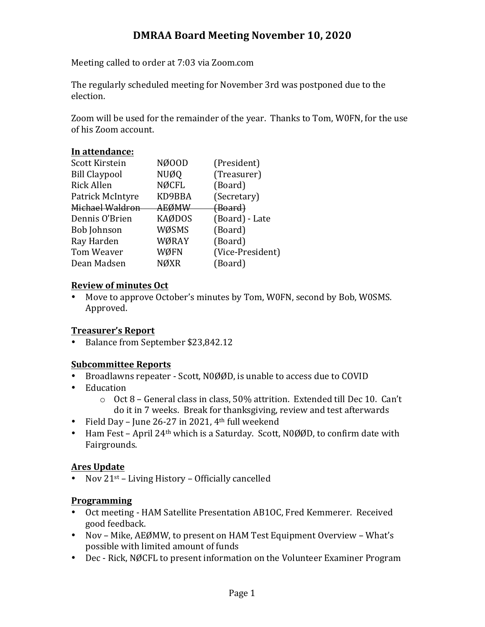# **DMRAA Board Meeting November 10, 2020**

Meeting called to order at 7:03 via Zoom.com

The regularly scheduled meeting for November 3rd was postponed due to the election.

Zoom will be used for the remainder of the year. Thanks to Tom, W0FN, for the use of his Zoom account.

# In attendance:

| Scott Kirstein       | NØ00D         | (President)      |
|----------------------|---------------|------------------|
| <b>Bill Claypool</b> | <b>NUØQ</b>   | (Treasurer)      |
| <b>Rick Allen</b>    | <b>NØCFL</b>  | (Board)          |
| Patrick McIntyre     | KD9BBA        | (Secretary)      |
| Michael Waldron      | AEØMW         | (Board)          |
| Dennis O'Brien       | <b>KAØDOS</b> | (Board) - Late   |
| <b>Bob Johnson</b>   | WØSMS         | (Board)          |
| Ray Harden           | WØRAY         | (Board)          |
| Tom Weaver           | WØFN          | (Vice-President) |
| Dean Madsen          | <b>NØXR</b>   | (Board)          |
|                      |               |                  |

# **Review of minutes Oct**

• Move to approve October's minutes by Tom, W0FN, second by Bob, W0SMS. Approved.

# **Treasurer's Report**

• Balance from September \$23,842.12

#### **Subcommittee Reports**

- Broadlawns repeater Scott, N0ØØD, is unable to access due to COVID
- Education
	- $\circ$  Oct 8 General class in class, 50% attrition. Extended till Dec 10. Can't do it in 7 weeks. Break for thanksgiving, review and test afterwards
- Field Day June 26-27 in 2021,  $4<sup>th</sup>$  full weekend
- Ham Fest April  $24<sup>th</sup>$  which is a Saturday. Scott, N0ØØD, to confirm date with Fairgrounds.

#### **Ares Update**

• Nov  $21^{st}$  – Living History – Officially cancelled

#### **Programming**

- Oct meeting HAM Satellite Presentation AB1OC, Fred Kemmerer. Received good feedback.
- Nov Mike, AEØMW, to present on HAM Test Equipment Overview What's possible with limited amount of funds
- Dec Rick, NØCFL to present information on the Volunteer Examiner Program